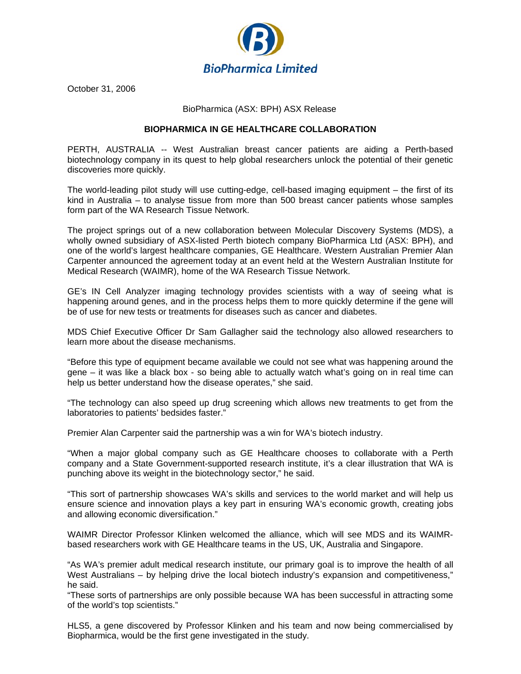

October 31, 2006

## BioPharmica (ASX: BPH) ASX Release

# **BIOPHARMICA IN GE HEALTHCARE COLLABORATION**

PERTH, AUSTRALIA -- West Australian breast cancer patients are aiding a Perth-based biotechnology company in its quest to help global researchers unlock the potential of their genetic discoveries more quickly.

The world-leading pilot study will use cutting-edge, cell-based imaging equipment – the first of its kind in Australia – to analyse tissue from more than 500 breast cancer patients whose samples form part of the WA Research Tissue Network.

The project springs out of a new collaboration between Molecular Discovery Systems (MDS), a wholly owned subsidiary of ASX-listed Perth biotech company BioPharmica Ltd (ASX: BPH), and one of the world's largest healthcare companies, GE Healthcare. Western Australian Premier Alan Carpenter announced the agreement today at an event held at the Western Australian Institute for Medical Research (WAIMR), home of the WA Research Tissue Network.

GE's IN Cell Analyzer imaging technology provides scientists with a way of seeing what is happening around genes, and in the process helps them to more quickly determine if the gene will be of use for new tests or treatments for diseases such as cancer and diabetes.

MDS Chief Executive Officer Dr Sam Gallagher said the technology also allowed researchers to learn more about the disease mechanisms.

"Before this type of equipment became available we could not see what was happening around the gene – it was like a black box - so being able to actually watch what's going on in real time can help us better understand how the disease operates," she said.

"The technology can also speed up drug screening which allows new treatments to get from the laboratories to patients' bedsides faster."

Premier Alan Carpenter said the partnership was a win for WA's biotech industry.

"When a major global company such as GE Healthcare chooses to collaborate with a Perth company and a State Government-supported research institute, it's a clear illustration that WA is punching above its weight in the biotechnology sector," he said.

"This sort of partnership showcases WA's skills and services to the world market and will help us ensure science and innovation plays a key part in ensuring WA's economic growth, creating jobs and allowing economic diversification."

WAIMR Director Professor Klinken welcomed the alliance, which will see MDS and its WAIMRbased researchers work with GE Healthcare teams in the US, UK, Australia and Singapore.

"As WA's premier adult medical research institute, our primary goal is to improve the health of all West Australians – by helping drive the local biotech industry's expansion and competitiveness," he said.

"These sorts of partnerships are only possible because WA has been successful in attracting some of the world's top scientists."

HLS5, a gene discovered by Professor Klinken and his team and now being commercialised by Biopharmica, would be the first gene investigated in the study.